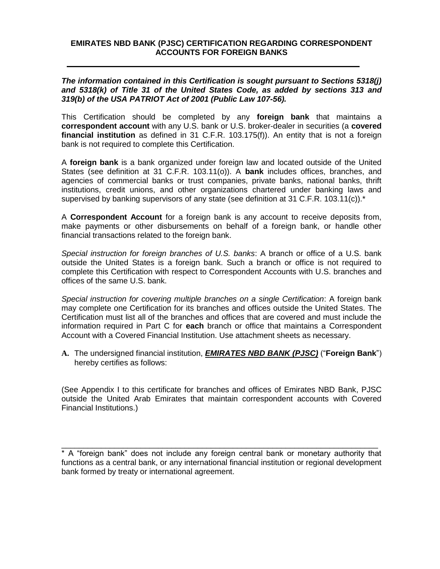#### **EMIRATES NBD BANK (PJSC) CERTIFICATION REGARDING CORRESPONDENT ACCOUNTS FOR FOREIGN BANKS**

*The information contained in this Certification is sought pursuant to Sections 5318(j) and 5318(k) of Title 31 of the United States Code, as added by sections 313 and 319(b) of the USA PATRIOT Act of 2001 (Public Law 107-56).*

This Certification should be completed by any **foreign bank** that maintains a **correspondent account** with any U.S. bank or U.S. broker-dealer in securities (a **covered financial institution** as defined in 31 C.F.R. 103.175(f)). An entity that is not a foreign bank is not required to complete this Certification.

A **foreign bank** is a bank organized under foreign law and located outside of the United States (see definition at 31 C.F.R. 103.11(o)). A **bank** includes offices, branches, and agencies of commercial banks or trust companies, private banks, national banks, thrift institutions, credit unions, and other organizations chartered under banking laws and supervised by banking supervisors of any state (see definition at 31 C.F.R. 103.11(c)).<sup>\*</sup>

A **Correspondent Account** for a foreign bank is any account to receive deposits from, make payments or other disbursements on behalf of a foreign bank, or handle other financial transactions related to the foreign bank.

*Special instruction for foreign branches of U.S. banks*: A branch or office of a U.S. bank outside the United States is a foreign bank. Such a branch or office is not required to complete this Certification with respect to Correspondent Accounts with U.S. branches and offices of the same U.S. bank.

*Special instruction for covering multiple branches on a single Certification*: A foreign bank may complete one Certification for its branches and offices outside the United States. The Certification must list all of the branches and offices that are covered and must include the information required in Part C for **each** branch or office that maintains a Correspondent Account with a Covered Financial Institution. Use attachment sheets as necessary.

**A.** The undersigned financial institution, *EMIRATES NBD BANK (PJSC)* ("**Foreign Bank**") hereby certifies as follows:

(See Appendix I to this certificate for branches and offices of Emirates NBD Bank, PJSC outside the United Arab Emirates that maintain correspondent accounts with Covered Financial Institutions.)

\_\_\_\_\_\_\_\_\_\_\_\_\_\_\_\_\_\_\_\_\_\_\_\_\_\_\_\_\_\_\_\_\_\_\_\_\_\_\_\_\_\_\_\_\_\_\_\_\_\_\_\_\_\_\_\_\_\_\_\_\_\_\_\_\_\_\_\_\_\_\_\_

<sup>\*</sup> A "foreign bank" does not include any foreign central bank or monetary authority that functions as a central bank, or any international financial institution or regional development bank formed by treaty or international agreement.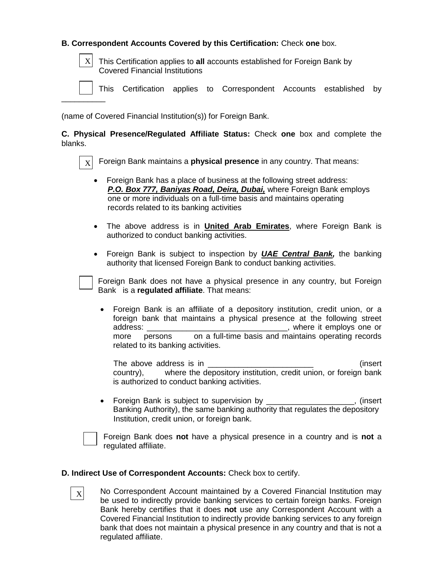## **B. Correspondent Accounts Covered by this Certification:** Check **one** box.

 $\vert X \vert$  This Certification applies to **all** accounts established for Foreign Bank by Covered Financial Institutions

This Certification applies to Correspondent Accounts established by

(name of Covered Financial Institution(s)) for Foreign Bank.

**C. Physical Presence/Regulated Affiliate Status:** Check **one** box and complete the blanks.

 $\left| \right|$  X Foreign Bank maintains a **physical presence** in any country. That means:

- Foreign Bank has a place of business at the following street address:  *P.O. Box 777, Baniyas Road, Deira, Dubai,* where Foreign Bank employs one or more individuals on a full-time basis and maintains operating records related to its banking activities
- The above address is in **United Arab Emirates**, where Foreign Bank is authorized to conduct banking activities.
- Foreign Bank is subject to inspection by *UAE Central Bank,* the banking authority that licensed Foreign Bank to conduct banking activities.

Foreign Bank does not have a physical presence in any country, but Foreign Bank is a **regulated affiliate**. That means:

 Foreign Bank is an affiliate of a depository institution, credit union, or a foreign bank that maintains a physical presence at the following street address: \_\_\_\_\_\_\_\_\_\_\_\_\_\_\_\_\_\_\_\_\_\_\_\_\_\_\_\_\_\_\_\_, where it employs one or more personson a full-time basis and maintains operating records related to its banking activities.

The above address is in **The above address** is in **the above address** is in country), where the depository institution, credit union, or foreign bank is authorized to conduct banking activities.

• Foreign Bank is subject to supervision by \_\_\_\_\_\_\_\_\_\_\_\_\_\_\_\_\_\_\_, (insert Banking Authority), the same banking authority that regulates the depository Institution, credit union, or foreign bank.

 $\overline{\phantom{a}}$  , and the set of  $\overline{\phantom{a}}$ 

Foreign Bank does **not** have a physical presence in a country and is **not** a regulated affiliate.

#### **D. Indirect Use of Correspondent Accounts:** Check box to certify.

X

No Correspondent Account maintained by a Covered Financial Institution may be used to indirectly provide banking services to certain foreign banks. Foreign Bank hereby certifies that it does **not** use any Correspondent Account with a Covered Financial Institution to indirectly provide banking services to any foreign bank that does not maintain a physical presence in any country and that is not a regulated affiliate.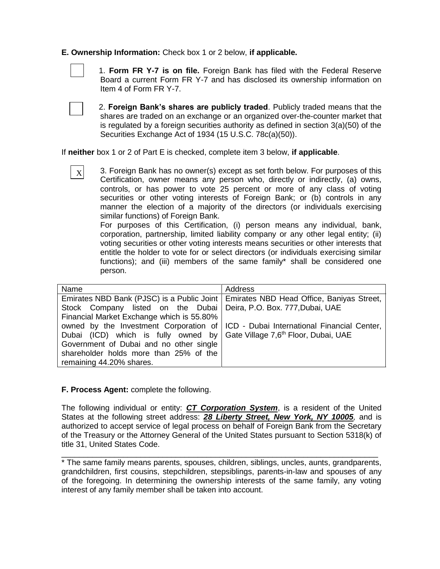#### **E. Ownership Information:** Check box 1 or 2 below, **if applicable.**



 1. **Form FR Y-7 is on file.** Foreign Bank has filed with the Federal Reserve Board a current Form FR Y-7 and has disclosed its ownership information on Item 4 of Form FR Y-7.

X

 2. **Foreign Bank's shares are publicly traded**. Publicly traded means that the shares are traded on an exchange or an organized over-the-counter market that is regulated by a foreign securities authority as defined in section 3(a)(50) of the Securities Exchange Act of 1934 (15 U.S.C. 78c(a)(50)).

If **neither** box 1 or 2 of Part E is checked, complete item 3 below, **if applicable**.

3. Foreign Bank has no owner(s) except as set forth below. For purposes of this Certification, owner means any person who, directly or indirectly, (a) owns, controls, or has power to vote 25 percent or more of any class of voting securities or other voting interests of Foreign Bank; or (b) controls in any manner the election of a majority of the directors (or individuals exercising similar functions) of Foreign Bank.

For purposes of this Certification, (i) person means any individual, bank, corporation, partnership, limited liability company or any other legal entity; (ii) voting securities or other voting interests means securities or other interests that entitle the holder to vote for or select directors (or individuals exercising similar functions); and (iii) members of the same family\* shall be considered one person.

| Name                                                                                 | Address                                                                                |  |  |
|--------------------------------------------------------------------------------------|----------------------------------------------------------------------------------------|--|--|
|                                                                                      | Emirates NBD Bank (PJSC) is a Public Joint   Emirates NBD Head Office, Baniyas Street, |  |  |
| Stock Company listed on the Dubai Deira, P.O. Box. 777, Dubai, UAE                   |                                                                                        |  |  |
| Financial Market Exchange which is 55.80%                                            |                                                                                        |  |  |
|                                                                                      | owned by the Investment Corporation of   ICD - Dubai International Financial Center,   |  |  |
| Dubai (ICD) which is fully owned by Gate Village 7,6 <sup>th</sup> Floor, Dubai, UAE |                                                                                        |  |  |
| Government of Dubai and no other single                                              |                                                                                        |  |  |
| shareholder holds more than 25% of the                                               |                                                                                        |  |  |
| remaining 44.20% shares.                                                             |                                                                                        |  |  |

## **F. Process Agent:** complete the following.

The following individual or entity: *CT Corporation System*, is a resident of the United States at the following street address: *28 Liberty Street, New York, NY 10005,* and is authorized to accept service of legal process on behalf of Foreign Bank from the Secretary of the Treasury or the Attorney General of the United States pursuant to Section 5318(k) of title 31, United States Code.

\_\_\_\_\_\_\_\_\_\_\_\_\_\_\_\_\_\_\_\_\_\_\_\_\_\_\_\_\_\_\_\_\_\_\_\_\_\_\_\_\_\_\_\_\_\_\_\_\_\_\_\_\_\_\_\_\_\_\_\_\_\_\_\_\_\_\_\_\_\_\_\_

<sup>\*</sup> The same family means parents, spouses, children, siblings, uncles, aunts, grandparents, grandchildren, first cousins, stepchildren, stepsiblings, parents-in-law and spouses of any of the foregoing. In determining the ownership interests of the same family, any voting interest of any family member shall be taken into account.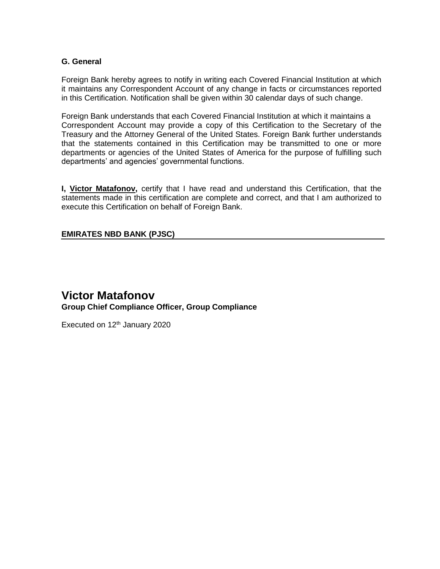## **G. General**

Foreign Bank hereby agrees to notify in writing each Covered Financial Institution at which it maintains any Correspondent Account of any change in facts or circumstances reported in this Certification. Notification shall be given within 30 calendar days of such change.

Foreign Bank understands that each Covered Financial Institution at which it maintains a Correspondent Account may provide a copy of this Certification to the Secretary of the Treasury and the Attorney General of the United States. Foreign Bank further understands that the statements contained in this Certification may be transmitted to one or more departments or agencies of the United States of America for the purpose of fulfilling such departments' and agencies' governmental functions.

**I, Victor Matafonov,** certify that I have read and understand this Certification, that the statements made in this certification are complete and correct, and that I am authorized to execute this Certification on behalf of Foreign Bank.

## **EMIRATES NBD BANK (PJSC)**

# **Victor Matafonov Group Chief Compliance Officer, Group Compliance**

Executed on  $12<sup>th</sup>$  January 2020